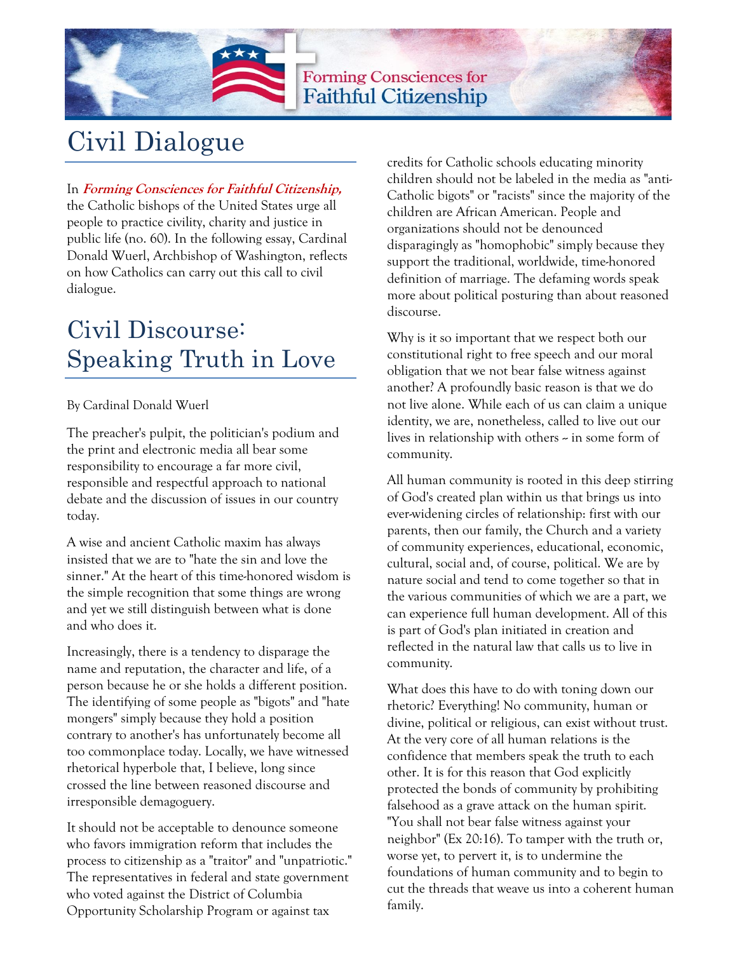

**Forming Consciences for Faithful Citizenship** 

# Civil Dialogue

In **Forming Consciences for Faithful Citizenship,**  the Catholic bishops of the United States urge all people to practice civility, charity and justice in public life (no. 60). In the following essay, Cardinal Donald Wuerl, Archbishop of Washington, reflects on how Catholics can carry out this call to civil dialogue.

## Civil Discourse: Speaking Truth in Love

### By Cardinal Donald Wuerl

The preacher's pulpit, the politician's podium and the print and electronic media all bear some responsibility to encourage a far more civil, responsible and respectful approach to national debate and the discussion of issues in our country today.

A wise and ancient Catholic maxim has always insisted that we are to "hate the sin and love the sinner." At the heart of this time-honored wisdom is the simple recognition that some things are wrong and yet we still distinguish between what is done and who does it.

Increasingly, there is a tendency to disparage the name and reputation, the character and life, of a person because he or she holds a different position. The identifying of some people as "bigots" and "hate mongers" simply because they hold a position contrary to another's has unfortunately become all too commonplace today. Locally, we have witnessed rhetorical hyperbole that, I believe, long since crossed the line between reasoned discourse and irresponsible demagoguery.

It should not be acceptable to denounce someone who favors immigration reform that includes the process to citizenship as a "traitor" and "unpatriotic." The representatives in federal and state government who voted against the District of Columbia Opportunity Scholarship Program or against tax

credits for Catholic schools educating minority children should not be labeled in the media as "anti-Catholic bigots" or "racists" since the majority of the children are African American. People and organizations should not be denounced disparagingly as "homophobic" simply because they support the traditional, worldwide, time-honored definition of marriage. The defaming words speak more about political posturing than about reasoned discourse.

Why is it so important that we respect both our constitutional right to free speech and our moral obligation that we not bear false witness against another? A profoundly basic reason is that we do not live alone. While each of us can claim a unique identity, we are, nonetheless, called to live out our lives in relationship with others  $\sim$  in some form of community.

All human community is rooted in this deep stirring of God's created plan within us that brings us into ever-widening circles of relationship: first with our parents, then our family, the Church and a variety of community experiences, educational, economic, cultural, social and, of course, political. We are by nature social and tend to come together so that in the various communities of which we are a part, we can experience full human development. All of this is part of God's plan initiated in creation and reflected in the natural law that calls us to live in community.

What does this have to do with toning down our rhetoric? Everything! No community, human or divine, political or religious, can exist without trust. At the very core of all human relations is the confidence that members speak the truth to each other. It is for this reason that God explicitly protected the bonds of community by prohibiting falsehood as a grave attack on the human spirit. "You shall not bear false witness against your neighbor" (Ex 20:16). To tamper with the truth or, worse yet, to pervert it, is to undermine the foundations of human community and to begin to cut the threads that weave us into a coherent human family.